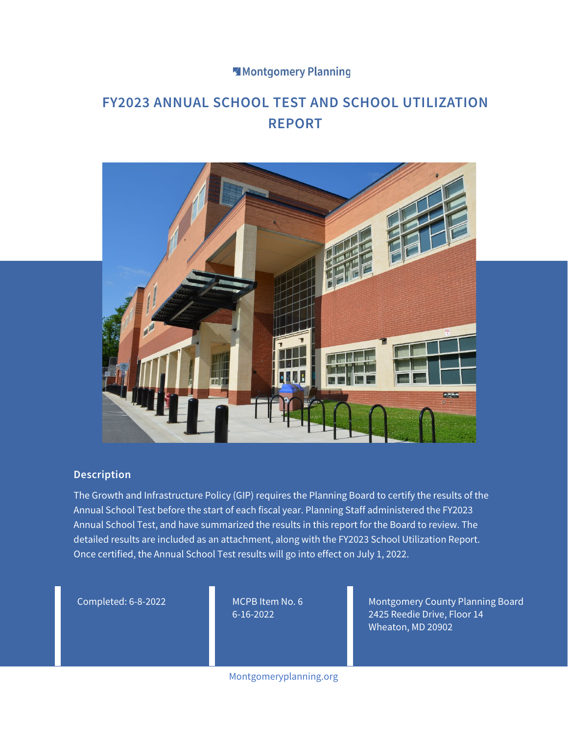#### Montgomery Planning

### **FY2023 ANNUAL SCHOOL TEST AND SCHOOL UTILIZATION REPORT**



#### **Description**

The Growth and Infrastructure Policy (GIP) requires the Planning Board to certify the results of the Annual School Test before the start of each fiscal year. Planning Staff administered the FY2023 Annual School Test, and have summarized the results in this report for the Board to review. The detailed results are included as an attachment, along with the FY2023 School Utilization Report. Once certified, the Annual School Test results will go into effect on July 1, 2022.

Completed: 6-8-2022 MCPB Item No. 6

6-16-2022

Montgomery County Planning Board 2425 Reedie Drive, Floor 14 Wheaton, MD 20902

Montgomeryplanning.org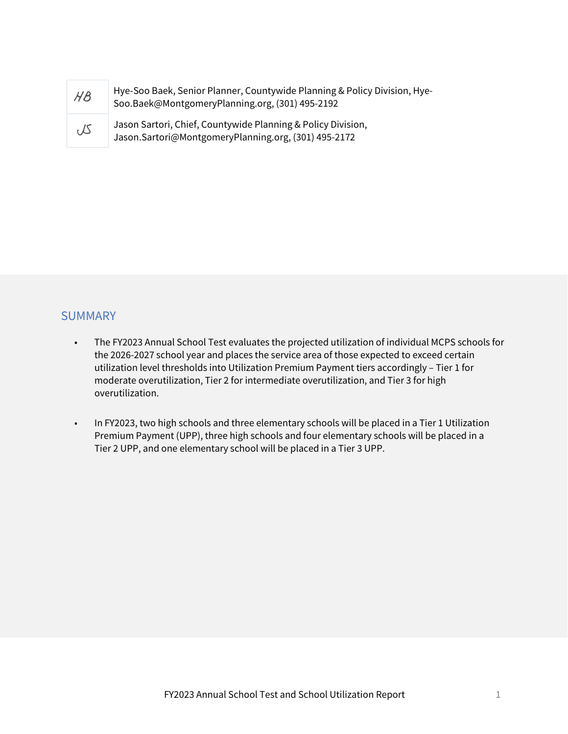| $H\mathcal{B}$ | Hye-Soo Baek, Senior Planner, Countywide Planning & Policy Division, Hye-<br>Soo.Baek@MontgomeryPlanning.org, (301) 495-2192 |
|----------------|------------------------------------------------------------------------------------------------------------------------------|
| JS             | Jason Sartori, Chief, Countywide Planning & Policy Division,<br>Jason.Sartori@MontgomeryPlanning.org, (301) 495-2172         |

#### **SUMMARY**

- The FY2023 Annual School Test evaluates the projected utilization of individual MCPS schools for the 2026-2027 school year and places the service area of those expected to exceed certain utilization level thresholds into Utilization Premium Payment tiers accordingly – Tier 1 for moderate overutilization, Tier 2 for intermediate overutilization, and Tier 3 for high overutilization.
- In FY2023, two high schools and three elementary schools will be placed in a Tier 1 Utilization Premium Payment (UPP), three high schools and four elementary schools will be placed in a Tier 2 UPP, and one elementary school will be placed in a Tier 3 UPP.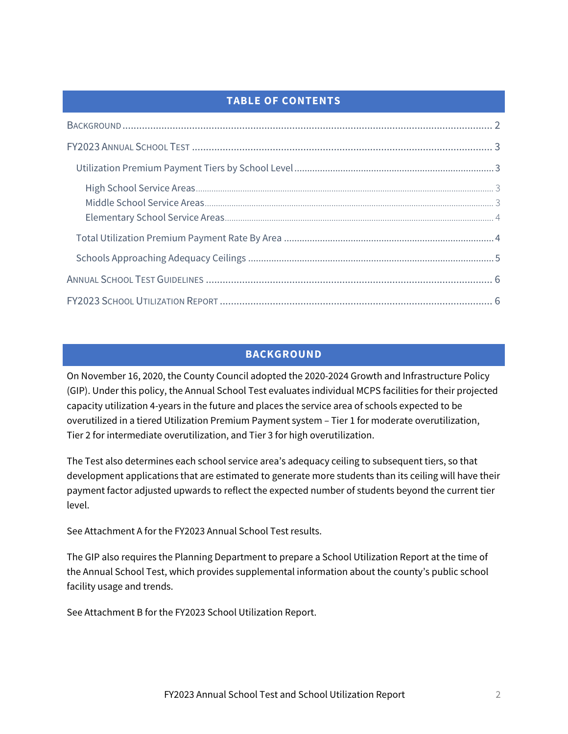#### **TABLE OF CONTENTS**

#### **BACKGROUND**

<span id="page-2-0"></span>On November 16, 2020, the County Council adopted the 2020-2024 Growth and Infrastructure Policy (GIP). Under this policy, the Annual School Test evaluates individual MCPS facilities for their projected capacity utilization 4-years in the future and places the service area of schools expected to be overutilized in a tiered Utilization Premium Payment system – Tier 1 for moderate overutilization, Tier 2 for intermediate overutilization, and Tier 3 for high overutilization.

The Test also determines each school service area's adequacy ceiling to subsequent tiers, so that development applications that are estimated to generate more students than its ceiling will have their payment factor adjusted upwards to reflect the expected number of students beyond the current tier level.

See Attachment A for the FY2023 Annual School Test results.

The GIP also requires the Planning Department to prepare a School Utilization Report at the time of the Annual School Test, which provides supplemental information about the county's public school facility usage and trends.

See Attachment B for the FY2023 School Utilization Report.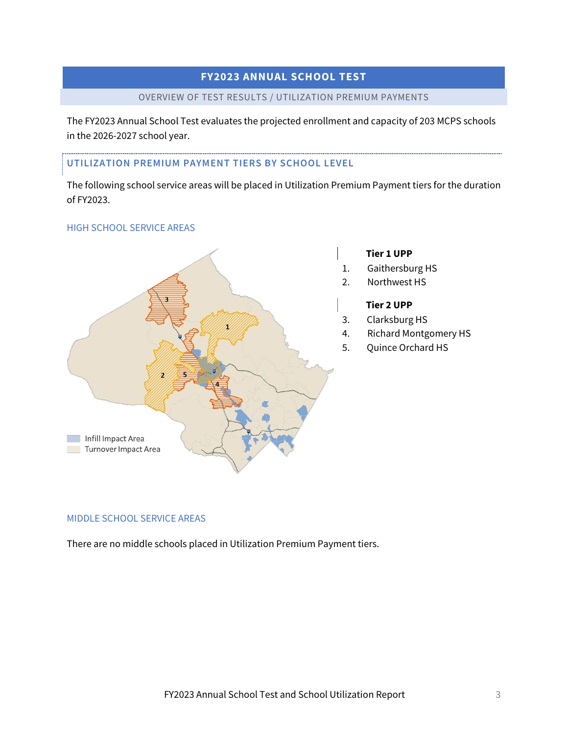## **FY2023 ANNUAL SCHOOL TEST**  DL<br><sup>DN P</sup>

#### OVERVIEW OF TEST RESULTS / UTILIZATION PREMIUM PAYMENTS

<span id="page-3-0"></span>The FY2023 Annual School Test evaluates the projected enrollment and capacity of 203 MCPS schools in the 2026-2027 school year.

#### <span id="page-3-1"></span>**UTILIZATION PREMIUM PAYMENT TIERS BY SCHOOL LEVEL**

The following school service areas will be placed in Utilization Premium Payment tiers for the duration of FY2023.

#### <span id="page-3-2"></span>HIGH SCHOOL SERVICE AREAS



#### **Tier 1 UPP**

- 1. Gaithersburg HS
- 2. Northwest HS

#### **Tier 2 UPP**

- 3. Clarksburg HS
- 4. Richard Montgomery HS
- 5. Quince Orchard HS

#### <span id="page-3-3"></span>MIDDLE SCHOOL SERVICE AREAS

There are no middle schools placed in Utilization Premium Payment tiers.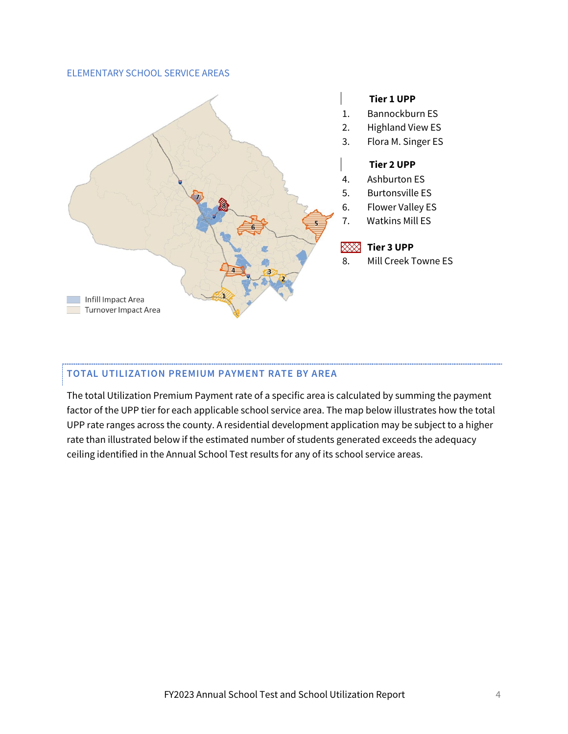#### <span id="page-4-0"></span>ELEMENTARY SCHOOL SERVICE AREAS



#### **Tier 1 UPP**

- 1. Bannockburn ES
- 2. Highland View ES
- 3. Flora M. Singer ES

#### **Tier 2 UPP**

- 4. Ashburton ES
- 5. Burtonsville ES
- 6. Flower Valley ES
- 7. Watkins Mill ES

#### $\boxtimes$  Tier 3 UPP

8. Mill Creek Towne ES

# **TOTAL UTILIZATION PREMIUM PAYMENT RATE BY AREA**

<span id="page-4-1"></span>The total Utilization Premium Payment rate of a specific area is calculated by summing the payment factor of the UPP tier for each applicable school service area. The map below illustrates how the total UPP rate ranges across the county. A residential development application may be subject to a higher rate than illustrated below if the estimated number of students generated exceeds the adequacy ceiling identified in the Annual School Test results for any of its school service areas.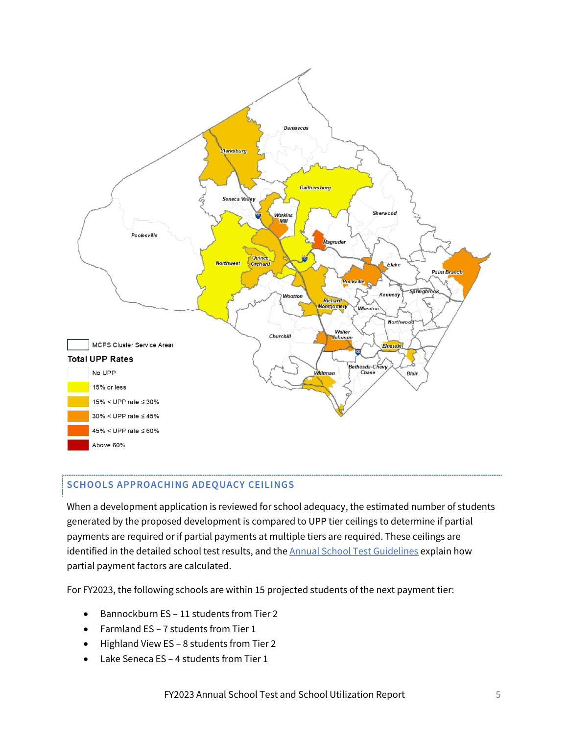

#### <span id="page-5-0"></span>**SCHOOLS APPROACHING ADEQUACY CEILINGS**

When a development application is reviewed for school adequacy, the estimated number of students generated by the proposed development is compared to UPP tier ceilings to determine if partial payments are required or if partial payments at multiple tiers are required. These ceilings are identified in the detailed school test results, and the **Annual School Test Guidelines** explain how partial payment factors are calculated.

For FY2023, the following schools are within 15 projected students of the next payment tier:

- Bannockburn ES 11 students from Tier 2
- Farmland ES 7 students from Tier 1
- Highland View ES 8 students from Tier 2
- Lake Seneca ES 4 students from Tier 1